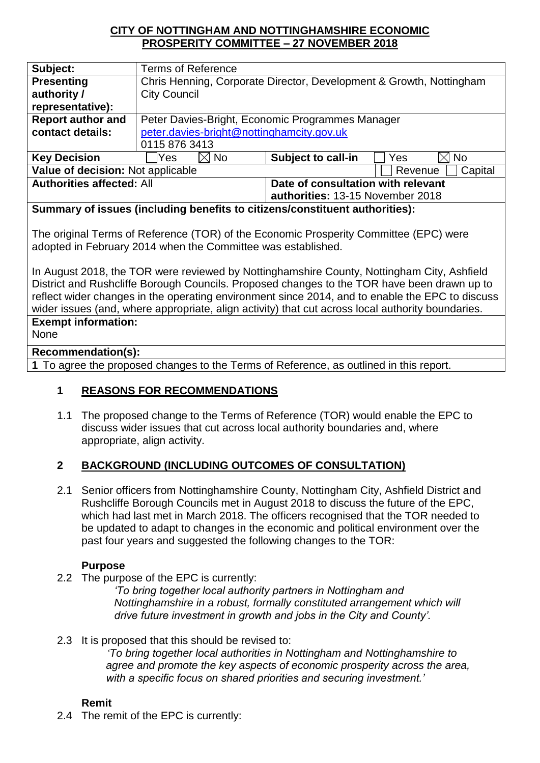### **CITY OF NOTTINGHAM AND NOTTINGHAMSHIRE ECONOMIC PROSPERITY COMMITTEE – 27 NOVEMBER 2018**

| Subject:                          | <b>Terms of Reference</b>                                           |                                    |                                |
|-----------------------------------|---------------------------------------------------------------------|------------------------------------|--------------------------------|
| <b>Presenting</b>                 | Chris Henning, Corporate Director, Development & Growth, Nottingham |                                    |                                |
| authority /                       | <b>City Council</b>                                                 |                                    |                                |
| representative):                  |                                                                     |                                    |                                |
| <b>Report author and</b>          | Peter Davies-Bright, Economic Programmes Manager                    |                                    |                                |
| contact details:                  | peter.davies-bright@nottinghamcity.gov.uk                           |                                    |                                |
|                                   | 0115 876 3413                                                       |                                    |                                |
| <b>Key Decision</b>               | $\boxtimes$ No<br>Yes                                               | <b>Subject to call-in</b>          | $\times$ l<br><b>No</b><br>Yes |
| Value of decision: Not applicable |                                                                     | Capital<br>Revenue                 |                                |
| <b>Authorities affected: All</b>  |                                                                     | Date of consultation with relevant |                                |
|                                   |                                                                     | authorities: 13-15 November 2018   |                                |

**Summary of issues (including benefits to citizens/constituent authorities):** 

The original Terms of Reference (TOR) of the Economic Prosperity Committee (EPC) were adopted in February 2014 when the Committee was established.

In August 2018, the TOR were reviewed by Nottinghamshire County, Nottingham City, Ashfield District and Rushcliffe Borough Councils. Proposed changes to the TOR have been drawn up to reflect wider changes in the operating environment since 2014, and to enable the EPC to discuss wider issues (and, where appropriate, align activity) that cut across local authority boundaries. **Exempt information:**

None

### **Recommendation(s):**

**1** To agree the proposed changes to the Terms of Reference, as outlined in this report.

### **1 REASONS FOR RECOMMENDATIONS**

1.1 The proposed change to the Terms of Reference (TOR) would enable the EPC to discuss wider issues that cut across local authority boundaries and, where appropriate, align activity.

### **2 BACKGROUND (INCLUDING OUTCOMES OF CONSULTATION)**

2.1 Senior officers from Nottinghamshire County, Nottingham City, Ashfield District and Rushcliffe Borough Councils met in August 2018 to discuss the future of the EPC, which had last met in March 2018. The officers recognised that the TOR needed to be updated to adapt to changes in the economic and political environment over the past four years and suggested the following changes to the TOR:

#### **Purpose**

2.2 The purpose of the EPC is currently:

*'To bring together local authority partners in Nottingham and Nottinghamshire in a robust, formally constituted arrangement which will drive future investment in growth and jobs in the City and County'.*

### 2.3 It is proposed that this should be revised to:

*'To bring together local authorities in Nottingham and Nottinghamshire to agree and promote the key aspects of economic prosperity across the area, with a specific focus on shared priorities and securing investment.'*

### **Remit**

2.4 The remit of the EPC is currently: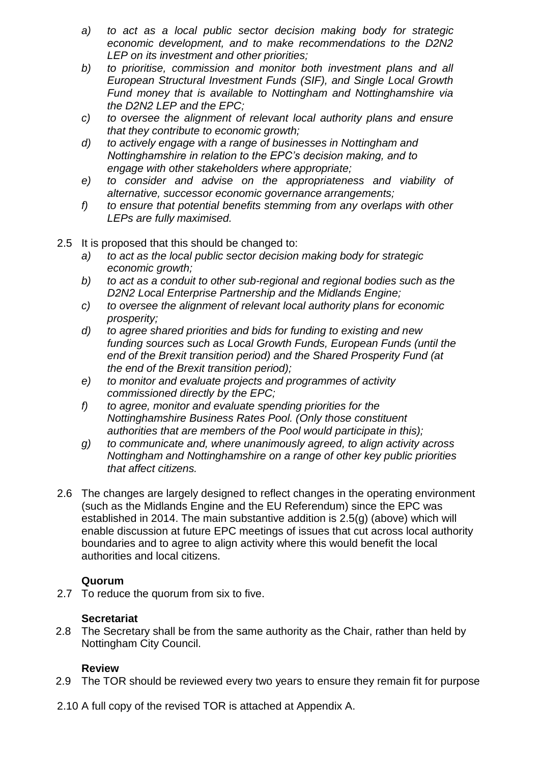- *a) to act as a local public sector decision making body for strategic economic development, and to make recommendations to the D2N2 LEP on its investment and other priorities;*
- *b) to prioritise, commission and monitor both investment plans and all European Structural Investment Funds (SIF), and Single Local Growth Fund money that is available to Nottingham and Nottinghamshire via the D2N2 LEP and the EPC;*
- *c) to oversee the alignment of relevant local authority plans and ensure that they contribute to economic growth;*
- *d) to actively engage with a range of businesses in Nottingham and Nottinghamshire in relation to the EPC's decision making, and to engage with other stakeholders where appropriate;*
- *e) to consider and advise on the appropriateness and viability of alternative, successor economic governance arrangements;*
- *f) to ensure that potential benefits stemming from any overlaps with other LEPs are fully maximised.*
- 2.5 It is proposed that this should be changed to:
	- *a) to act as the local public sector decision making body for strategic economic growth;*
	- *b) to act as a conduit to other sub-regional and regional bodies such as the D2N2 Local Enterprise Partnership and the Midlands Engine;*
	- *c) to oversee the alignment of relevant local authority plans for economic prosperity;*
	- *d) to agree shared priorities and bids for funding to existing and new funding sources such as Local Growth Funds, European Funds (until the end of the Brexit transition period) and the Shared Prosperity Fund (at the end of the Brexit transition period);*
	- *e) to monitor and evaluate projects and programmes of activity commissioned directly by the EPC;*
	- *f) to agree, monitor and evaluate spending priorities for the Nottinghamshire Business Rates Pool. (Only those constituent authorities that are members of the Pool would participate in this);*
	- *g) to communicate and, where unanimously agreed, to align activity across Nottingham and Nottinghamshire on a range of other key public priorities that affect citizens.*
- 2.6 The changes are largely designed to reflect changes in the operating environment (such as the Midlands Engine and the EU Referendum) since the EPC was established in 2014. The main substantive addition is 2.5(g) (above) which will enable discussion at future EPC meetings of issues that cut across local authority boundaries and to agree to align activity where this would benefit the local authorities and local citizens.

### **Quorum**

2.7 To reduce the quorum from six to five.

# **Secretariat**

2.8 The Secretary shall be from the same authority as the Chair, rather than held by Nottingham City Council.

# **Review**

- 2.9 The TOR should be reviewed every two years to ensure they remain fit for purpose
- 2.10 A full copy of the revised TOR is attached at Appendix A.